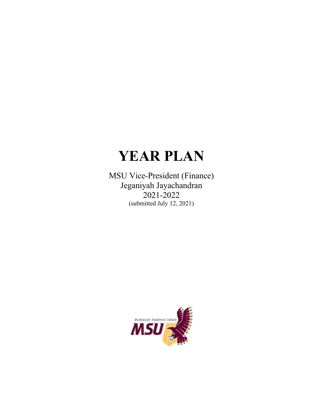# **YEAR PLAN**

MSU Vice-President (Finance) Jeganiyah Jayachandran  $2021 - 2022$ (submitted July 12, 2021)

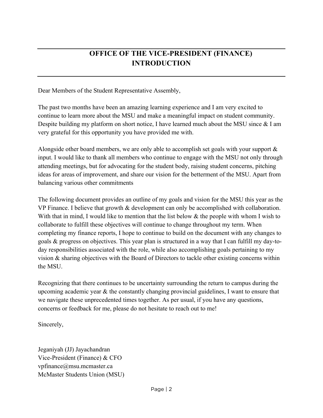# **OFFICE OF THE VICE-PRESIDENT (FINANCE) INTRODUCTION**

Dear Members of the Student Representative Assembly,

The past two months have been an amazing learning experience and I am very excited to continue to learn more about the MSU and make a meaningful impact on student community. Despite building my platform on short notice, I have learned much about the MSU since & I am very grateful for this opportunity you have provided me with.

Alongside other board members, we are only able to accomplish set goals with your support & input. I would like to thank all members who continue to engage with the MSU not only through attending meetings, but for advocating for the student body, raising student concerns, pitching ideas for areas of improvement, and share our vision for the betterment of the MSU. Apart from balancing various other commitments

The following document provides an outline of my goals and vision for the MSU this year as the VP Finance. I believe that growth & development can only be accomplished with collaboration. With that in mind, I would like to mention that the list below & the people with whom I wish to collaborate to fulfill these objectives will continue to change throughout my term. When completing my finance reports, I hope to continue to build on the document with any changes to goals & progress on objectives. This year plan is structured in a way that I can fulfill my day-today responsibilities associated with the role, while also accomplishing goals pertaining to my vision & sharing objectives with the Board of Directors to tackle other existing concerns within the MSU.

Recognizing that there continues to be uncertainty surrounding the return to campus during the upcoming academic year & the constantly changing provincial guidelines, I want to ensure that we navigate these unprecedented times together. As per usual, if you have any questions, concerns or feedback for me, please do not hesitate to reach out to me!

Sincerely,

Jeganiyah (JJ) Jayachandran Vice-President (Finance) & CFO vpfinance@msu.mcmaster.ca McMaster Students Union (MSU)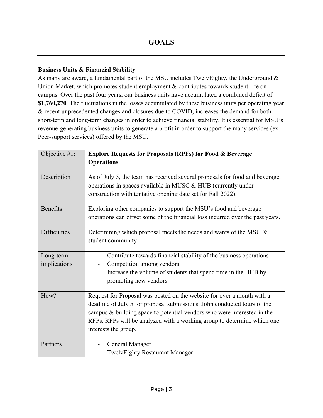#### **Business Units & Financial Stability**

As many are aware, a fundamental part of the MSU includes TwelvEighty, the Underground & Union Market, which promotes student employment & contributes towards student-life on campus. Over the past four years, our business units have accumulated a combined deficit of **\$1,760,270**. The fluctuations in the losses accumulated by these business units per operating year & recent unprecedented changes and closures due to COVID, increases the demand for both short-term and long-term changes in order to achieve financial stability. It is essential for MSU's revenue-generating business units to generate a profit in order to support the many services (ex. Peer-support services) offered by the MSU.

| Objective #1:             | <b>Explore Requests for Proposals (RPFs) for Food &amp; Beverage</b>                                                                                                                                                                                                                                                             |
|---------------------------|----------------------------------------------------------------------------------------------------------------------------------------------------------------------------------------------------------------------------------------------------------------------------------------------------------------------------------|
|                           | <b>Operations</b>                                                                                                                                                                                                                                                                                                                |
| Description               | As of July 5, the team has received several proposals for food and beverage<br>operations in spaces available in MUSC & HUB (currently under<br>construction with tentative opening date set for Fall 2022).                                                                                                                     |
| <b>Benefits</b>           | Exploring other companies to support the MSU's food and beverage<br>operations can offset some of the financial loss incurred over the past years.                                                                                                                                                                               |
| <b>Difficulties</b>       | Determining which proposal meets the needs and wants of the MSU &<br>student community                                                                                                                                                                                                                                           |
| Long-term<br>implications | Contribute towards financial stability of the business operations<br>Competition among vendors<br>Increase the volume of students that spend time in the HUB by<br>promoting new vendors                                                                                                                                         |
| How?                      | Request for Proposal was posted on the website for over a month with a<br>deadline of July 5 for proposal submissions. John conducted tours of the<br>campus & building space to potential vendors who were interested in the<br>RFPs. RFPs will be analyzed with a working group to determine which one<br>interests the group. |
| Partners                  | General Manager<br><b>TwelvEighty Restaurant Manager</b>                                                                                                                                                                                                                                                                         |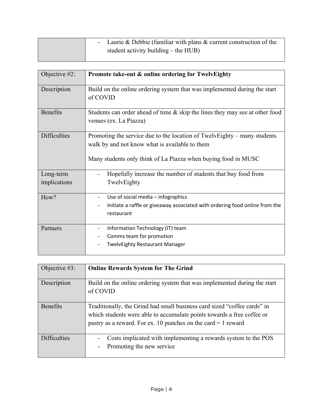| - Laurie & Debbie (familiar with plans $\&$ current construction of the |
|-------------------------------------------------------------------------|
| student activity building $-$ the HUB)                                  |

| Objective #2:             | Promote take-out & online ordering for TwelvEighty                                                                                                                                           |
|---------------------------|----------------------------------------------------------------------------------------------------------------------------------------------------------------------------------------------|
| Description               | Build on the online ordering system that was implemented during the start<br>of COVID                                                                                                        |
| <b>Benefits</b>           | Students can order ahead of time $\&$ skip the lines they may see at other food<br>venues (ex. La Piazza)                                                                                    |
| <b>Difficulties</b>       | Promoting the service due to the location of TwelvEighty – many students<br>walk by and not know what is available to them<br>Many students only think of La Piazza when buying food in MUSC |
| Long-term<br>implications | Hopefully increase the number of students that buy food from<br>TwelvEighty                                                                                                                  |
| How?                      | Use of social media - infographics<br>$\overline{\phantom{a}}$<br>Initiate a raffle or giveaway associated with ordering food online from the<br>restaurant                                  |
| Partners                  | Information Technology (IT) team<br>$\overline{\phantom{a}}$<br>Comms team for promotion<br><b>TwelvEighty Restaurant Manager</b>                                                            |

| Objective $#3$ :    | <b>Online Rewards System for The Grind</b>                                                                                                                                                                            |
|---------------------|-----------------------------------------------------------------------------------------------------------------------------------------------------------------------------------------------------------------------|
| Description         | Build on the online ordering system that was implemented during the start<br>of COVID                                                                                                                                 |
| <b>Benefits</b>     | Traditionally, the Grind had small business card sized "coffee cards" in<br>which students were able to accumulate points towards a free coffee or<br>pastry as a reward. For ex. 10 punches on the card $= 1$ reward |
| <b>Difficulties</b> | Costs implicated with implementing a rewards system to the POS<br>Promoting the new service                                                                                                                           |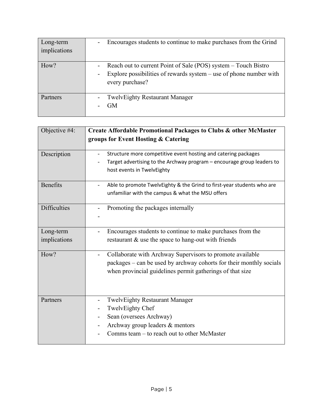| Long-term<br>implications | Encourages students to continue to make purchases from the Grind<br>$\qquad \qquad \blacksquare$                                                                                               |
|---------------------------|------------------------------------------------------------------------------------------------------------------------------------------------------------------------------------------------|
| How?                      | Reach out to current Point of Sale (POS) system - Touch Bistro<br>$\qquad \qquad \blacksquare$<br>Explore possibilities of rewards system $-$ use of phone number with<br>۰<br>every purchase? |
| Partners                  | <b>TwelvEighty Restaurant Manager</b><br><b>GM</b>                                                                                                                                             |

| Objective #4:             | Create Affordable Promotional Packages to Clubs & other McMaster                                                                                                                                   |
|---------------------------|----------------------------------------------------------------------------------------------------------------------------------------------------------------------------------------------------|
|                           | groups for Event Hosting & Catering                                                                                                                                                                |
| Description               | Structure more competitive event hosting and catering packages<br>Target advertising to the Archway program - encourage group leaders to<br>host events in TwelvEighty                             |
| <b>Benefits</b>           | Able to promote TwelvEighty & the Grind to first-year students who are<br>unfamiliar with the campus & what the MSU offers                                                                         |
| <b>Difficulties</b>       | Promoting the packages internally                                                                                                                                                                  |
| Long-term<br>implications | Encourages students to continue to make purchases from the<br>restaurant & use the space to hang-out with friends                                                                                  |
| How?                      | Collaborate with Archway Supervisors to promote available<br>-<br>packages – can be used by archway cohorts for their monthly socials<br>when provincial guidelines permit gatherings of that size |
| Partners                  | <b>TwelvEighty Restaurant Manager</b><br>$\overline{a}$<br>TwelvEighty Chef<br>Sean (oversees Archway)<br>Archway group leaders & mentors<br>Comms team – to reach out to other McMaster           |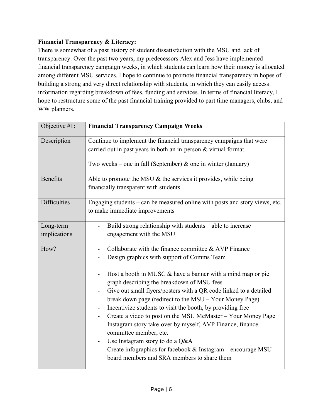#### **Financial Transparency & Literacy:**

There is somewhat of a past history of student dissatisfaction with the MSU and lack of transparency. Over the past two years, my predecessors Alex and Jess have implemented financial transparency campaign weeks, in which students can learn how their money is allocated among different MSU services. I hope to continue to promote financial transparency in hopes of building a strong and very direct relationship with students, in which they can easily access information regarding breakdown of fees, funding and services. In terms of financial literacy, I hope to restructure some of the past financial training provided to part time managers, clubs, and WW planners.

| Objective #1:             | <b>Financial Transparency Campaign Weeks</b>                                                                                                                                                                                                                                                                                                                                                                                                                                                                                                                                                                                                                                                                           |
|---------------------------|------------------------------------------------------------------------------------------------------------------------------------------------------------------------------------------------------------------------------------------------------------------------------------------------------------------------------------------------------------------------------------------------------------------------------------------------------------------------------------------------------------------------------------------------------------------------------------------------------------------------------------------------------------------------------------------------------------------------|
| Description               | Continue to implement the financial transparency campaigns that were<br>carried out in past years in both an in-person $&$ virtual format.<br>Two weeks – one in fall (September) & one in winter (January)                                                                                                                                                                                                                                                                                                                                                                                                                                                                                                            |
| <b>Benefits</b>           | Able to promote the MSU & the services it provides, while being<br>financially transparent with students                                                                                                                                                                                                                                                                                                                                                                                                                                                                                                                                                                                                               |
| <b>Difficulties</b>       | Engaging students – can be measured online with posts and story views, etc.<br>to make immediate improvements                                                                                                                                                                                                                                                                                                                                                                                                                                                                                                                                                                                                          |
| Long-term<br>implications | Build strong relationship with students – able to increase<br>engagement with the MSU                                                                                                                                                                                                                                                                                                                                                                                                                                                                                                                                                                                                                                  |
| How?                      | Collaborate with the finance committee & AVP Finance<br>Design graphics with support of Comms Team<br>Host a booth in MUSC & have a banner with a mind map or pie<br>graph describing the breakdown of MSU fees<br>Give out small flyers/posters with a QR code linked to a detailed<br>break down page (redirect to the MSU – Your Money Page)<br>Incentivize students to visit the booth, by providing free<br>Create a video to post on the MSU McMaster - Your Money Page<br>Instagram story take-over by myself, AVP Finance, finance<br>committee member, etc.<br>Use Instagram story to do a Q&A<br>Create infographics for facebook & Instagram - encourage MSU<br>board members and SRA members to share them |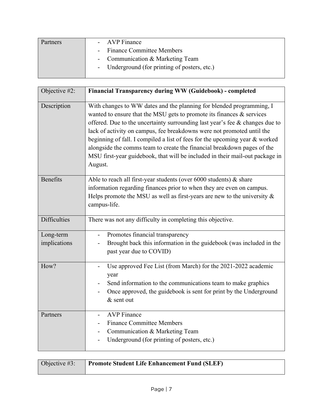| Partners | - AVP Finance                                 |
|----------|-----------------------------------------------|
|          | - Finance Committee Members                   |
|          | - Communication & Marketing Team              |
|          | - Underground (for printing of posters, etc.) |
|          |                                               |

| Objective #2:             | Financial Transparency during WW (Guidebook) - completed                                                                                                                                                                                                                                                                                                                                                                                                                                                                                                           |
|---------------------------|--------------------------------------------------------------------------------------------------------------------------------------------------------------------------------------------------------------------------------------------------------------------------------------------------------------------------------------------------------------------------------------------------------------------------------------------------------------------------------------------------------------------------------------------------------------------|
| Description               | With changes to WW dates and the planning for blended programming, I<br>wanted to ensure that the MSU gets to promote its finances $\&$ services<br>offered. Due to the uncertainty surrounding last year's fee $\&$ changes due to<br>lack of activity on campus, fee breakdowns were not promoted until the<br>beginning of fall. I compiled a list of fees for the upcoming year & worked<br>alongside the comms team to create the financial breakdown pages of the<br>MSU first-year guidebook, that will be included in their mail-out package in<br>August. |
| <b>Benefits</b>           | Able to reach all first-year students (over $6000$ students) & share<br>information regarding finances prior to when they are even on campus.<br>Helps promote the MSU as well as first-years are new to the university $\&$<br>campus-life.                                                                                                                                                                                                                                                                                                                       |
| <b>Difficulties</b>       | There was not any difficulty in completing this objective.                                                                                                                                                                                                                                                                                                                                                                                                                                                                                                         |
| Long-term<br>implications | Promotes financial transparency<br>Brought back this information in the guidebook (was included in the<br>past year due to COVID)                                                                                                                                                                                                                                                                                                                                                                                                                                  |
| How?                      | Use approved Fee List (from March) for the 2021-2022 academic<br>year<br>Send information to the communications team to make graphics<br>Once approved, the guidebook is sent for print by the Underground<br>$&$ sent out                                                                                                                                                                                                                                                                                                                                         |
| Partners                  | <b>AVP</b> Finance<br><b>Finance Committee Members</b><br>Communication & Marketing Team<br>Underground (for printing of posters, etc.)                                                                                                                                                                                                                                                                                                                                                                                                                            |

| Objective $#3$ : | <b>Promote Student Life Enhancement Fund (SLEF)</b> |
|------------------|-----------------------------------------------------|
|                  |                                                     |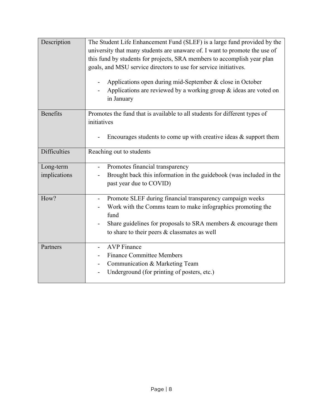| Description         | The Student Life Enhancement Fund (SLEF) is a large fund provided by the<br>university that many students are unaware of. I want to promote the use of<br>this fund by students for projects, SRA members to accomplish year plan<br>goals, and MSU service directors to use for service initiatives.<br>Applications open during mid-September & close in October<br>Applications are reviewed by a working group & ideas are voted on<br>in January |
|---------------------|-------------------------------------------------------------------------------------------------------------------------------------------------------------------------------------------------------------------------------------------------------------------------------------------------------------------------------------------------------------------------------------------------------------------------------------------------------|
| <b>Benefits</b>     | Promotes the fund that is available to all students for different types of<br>initiatives<br>Encourages students to come up with creative ideas $\&$ support them                                                                                                                                                                                                                                                                                     |
| <b>Difficulties</b> | Reaching out to students                                                                                                                                                                                                                                                                                                                                                                                                                              |
| Long-term           | Promotes financial transparency                                                                                                                                                                                                                                                                                                                                                                                                                       |
| implications        | Brought back this information in the guidebook (was included in the<br>past year due to COVID)                                                                                                                                                                                                                                                                                                                                                        |
| How?                | Promote SLEF during financial transparency campaign weeks<br>Work with the Comms team to make infographics promoting the<br>fund<br>Share guidelines for proposals to SRA members & encourage them<br>to share to their peers & classmates as well                                                                                                                                                                                                    |
| Partners            | <b>AVP</b> Finance<br>$\overline{a}$<br><b>Finance Committee Members</b><br>Communication & Marketing Team<br>Underground (for printing of posters, etc.)                                                                                                                                                                                                                                                                                             |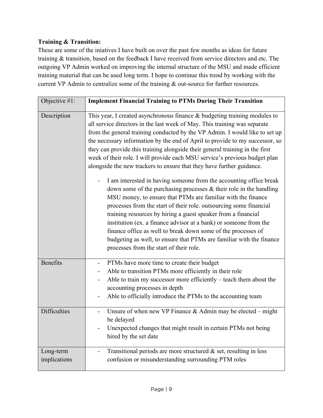### **Training & Transition:**

These are some of the iniatives I have built on over the past few months as ideas for future training & transition, based on the feedback I have received from service directors and etc. The outgoing VP Admin worked on improving the internal structure of the MSU and made efficient training material that can be used long term. I hope to continue this trend by working with the current VP Admin to centralize some of the training & out-source for further resources.

| Objective #1:             | <b>Implement Financial Training to PTMs During Their Transition</b>                                                                                                                                                                                                                                                                                                                                                                                                                                                                                                                                                                                                                                                                                                                                                                                                                                                                                                                                                                                                                                                                                                           |
|---------------------------|-------------------------------------------------------------------------------------------------------------------------------------------------------------------------------------------------------------------------------------------------------------------------------------------------------------------------------------------------------------------------------------------------------------------------------------------------------------------------------------------------------------------------------------------------------------------------------------------------------------------------------------------------------------------------------------------------------------------------------------------------------------------------------------------------------------------------------------------------------------------------------------------------------------------------------------------------------------------------------------------------------------------------------------------------------------------------------------------------------------------------------------------------------------------------------|
| Description               | This year, I created asynchronous finance $&$ budgeting training modules to<br>all service directors in the last week of May. This training was separate<br>from the general training conducted by the VP Admin. I would like to set up<br>the necessary information by the end of April to provide to my successor, so<br>they can provide this training alongside their general training in the first<br>week of their role. I will provide each MSU service's previous budget plan<br>alongside the new trackers to ensure that they have further guidance.<br>I am interested in having someone from the accounting office break<br>down some of the purchasing processes $\&$ their role in the handling<br>MSU money, to ensure that PTMs are familiar with the finance<br>processes from the start of their role. outsourcing some financial<br>training resources by hiring a guest speaker from a financial<br>institution (ex. a finance advisor at a bank) or someone from the<br>finance office as well to break down some of the processes of<br>budgeting as well, to ensure that PTMs are familiar with the finance<br>processes from the start of their role. |
| <b>Benefits</b>           | PTMs have more time to create their budget<br>Able to transition PTMs more efficiently in their role<br>Able to train my successor more efficiently – teach them about the<br>accounting processes in depth<br>Able to officially introduce the PTMs to the accounting team                                                                                                                                                                                                                                                                                                                                                                                                                                                                                                                                                                                                                                                                                                                                                                                                                                                                                                   |
| <b>Difficulties</b>       | Unsure of when new VP Finance $&$ Admin may be elected – might<br>be delayed<br>Unexpected changes that might result in certain PTMs not being<br>hired by the set date                                                                                                                                                                                                                                                                                                                                                                                                                                                                                                                                                                                                                                                                                                                                                                                                                                                                                                                                                                                                       |
| Long-term<br>implications | Transitional periods are more structured $\&$ set, resulting in less<br>confusion or misunderstanding surrounding PTM roles                                                                                                                                                                                                                                                                                                                                                                                                                                                                                                                                                                                                                                                                                                                                                                                                                                                                                                                                                                                                                                                   |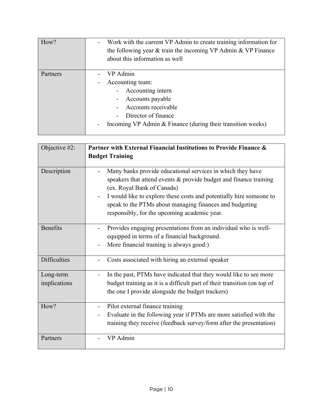| How?     | Work with the current VP Admin to create training information for<br>the following year $\&$ train the incoming VP Admin $\&$ VP Finance<br>about this information as well         |
|----------|------------------------------------------------------------------------------------------------------------------------------------------------------------------------------------|
| Partners | VP Admin<br>Accounting team:<br>Accounting intern<br>Accounts payable<br>Accounts receivable<br>Director of finance<br>Incoming VP Admin & Finance (during their transition weeks) |

| Objective #2:             | Partner with External Financial Institutions to Provide Finance &                                                                                                                                                                                                                                                                                  |
|---------------------------|----------------------------------------------------------------------------------------------------------------------------------------------------------------------------------------------------------------------------------------------------------------------------------------------------------------------------------------------------|
|                           | <b>Budget Training</b>                                                                                                                                                                                                                                                                                                                             |
| Description               | Many banks provide educational services in which they have<br>speakers that attend events $\&$ provide budget and finance training<br>(ex. Royal Bank of Canada)<br>I would like to explore these costs and potentially hire someone to<br>speak to the PTMs about managing finances and budgeting<br>responsibly, for the upcoming academic year. |
| <b>Benefits</b>           | Provides engaging presentations from an individual who is well-<br>equipped in terms of a financial background.<br>More financial training is always good:)                                                                                                                                                                                        |
| <b>Difficulties</b>       | Costs associated with hiring an external speaker                                                                                                                                                                                                                                                                                                   |
| Long-term<br>implications | In the past, PTMs have indicated that they would like to see more<br>budget training as it is a difficult part of their transition (on top of<br>the one I provide alongside the budget trackers)                                                                                                                                                  |
| How?                      | Pilot external finance training<br>$\overline{a}$<br>Evaluate in the following year if PTMs are more satisfied with the<br>training they receive (feedback survey/form after the presentation)                                                                                                                                                     |
| Partners                  | VP Admin                                                                                                                                                                                                                                                                                                                                           |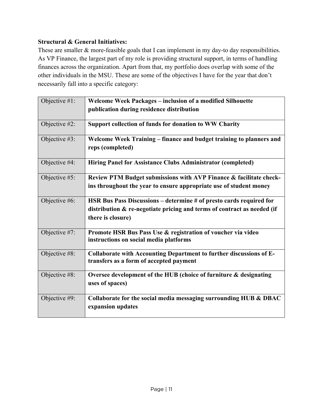## **Structural & General Initiatives:**

These are smaller & more-feasible goals that I can implement in my day-to day responsibilities. As VP Finance, the largest part of my role is providing structural support, in terms of handling finances across the organization. Apart from that, my portfolio does overlap with some of the other individuals in the MSU. These are some of the objectives I have for the year that don't necessarily fall into a specific category:

| Objective #1: | Welcome Week Packages - inclusion of a modified Silhouette                                                     |
|---------------|----------------------------------------------------------------------------------------------------------------|
|               | publication during residence distribution                                                                      |
| Objective #2: | Support collection of funds for donation to WW Charity                                                         |
| Objective #3: | Welcome Week Training – finance and budget training to planners and<br>reps (completed)                        |
| Objective #4: | Hiring Panel for Assistance Clubs Administrator (completed)                                                    |
| Objective #5: | Review PTM Budget submissions with AVP Finance & facilitate check-                                             |
|               | ins throughout the year to ensure appropriate use of student money                                             |
| Objective #6: | HSR Bus Pass Discussions – determine # of presto cards required for                                            |
|               | distribution & re-negotiate pricing and terms of contract as needed (if<br>there is closure)                   |
| Objective #7: | Promote HSR Bus Pass Use & registration of voucher via video<br>instructions on social media platforms         |
| Objective #8: | Collaborate with Accounting Department to further discussions of E-<br>transfers as a form of accepted payment |
| Objective #8: | Oversee development of the HUB (choice of furniture & designating                                              |
|               | uses of spaces)                                                                                                |
| Objective #9: | Collaborate for the social media messaging surrounding HUB & DBAC                                              |
|               | expansion updates                                                                                              |